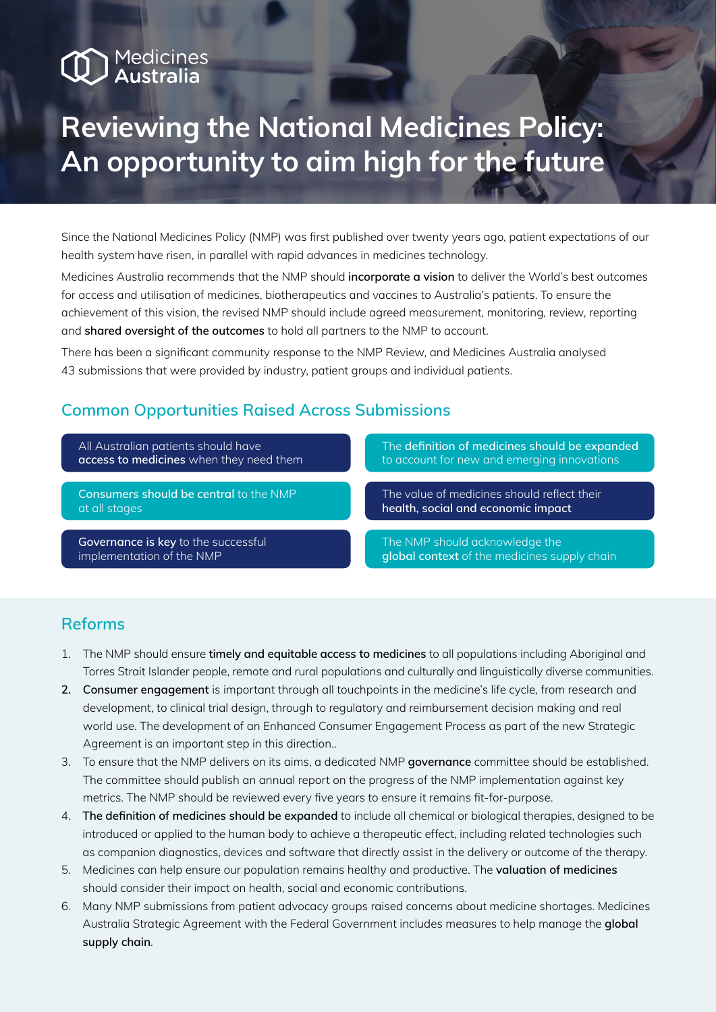# Medicines<br>**Australia**

## **Reviewing the National Medicines Policy: An opportunity to aim high for the future**

Since the National Medicines Policy (NMP) was first published over twenty years ago, patient expectations of our health system have risen, in parallel with rapid advances in medicines technology.

Medicines Australia recommends that the NMP should **incorporate a vision** to deliver the World's best outcomes for access and utilisation of medicines, biotherapeutics and vaccines to Australia's patients. To ensure the achievement of this vision, the revised NMP should include agreed measurement, monitoring, review, reporting and **shared oversight of the outcomes** to hold all partners to the NMP to account.

There has been a significant community response to the NMP Review, and Medicines Australia analysed 43 submissions that were provided by industry, patient groups and individual patients.

### **Common Opportunities Raised Across Submissions**

All Australian patients should have **access to medicines** when they need them

**Consumers should be central** to the NMP at all stages

**health, social and economic impact**

**Governance is key** to the successful implementation of the NMP

The NMP should acknowledge the **global context** of the medicines supply chain

The value of medicines should reflect their

The **definition of medicines should be expanded** to account for new and emerging innovations

#### **Reforms**

- 1. The NMP should ensure **timely and equitable access to medicines** to all populations including Aboriginal and Torres Strait Islander people, remote and rural populations and culturally and linguistically diverse communities.
- **2. Consumer engagement** is important through all touchpoints in the medicine's life cycle, from research and development, to clinical trial design, through to regulatory and reimbursement decision making and real world use. The development of an Enhanced Consumer Engagement Process as part of the new Strategic Agreement is an important step in this direction..
- 3. To ensure that the NMP delivers on its aims, a dedicated NMP **governance** committee should be established. The committee should publish an annual report on the progress of the NMP implementation against key metrics. The NMP should be reviewed every five years to ensure it remains fit-for-purpose.
- 4. **The definition of medicines should be expanded** to include all chemical or biological therapies, designed to be introduced or applied to the human body to achieve a therapeutic effect, including related technologies such as companion diagnostics, devices and software that directly assist in the delivery or outcome of the therapy.
- 5. Medicines can help ensure our population remains healthy and productive. The **valuation of medicines** should consider their impact on health, social and economic contributions.
- 6. Many NMP submissions from patient advocacy groups raised concerns about medicine shortages. Medicines Australia Strategic Agreement with the Federal Government includes measures to help manage the **global supply chain**.